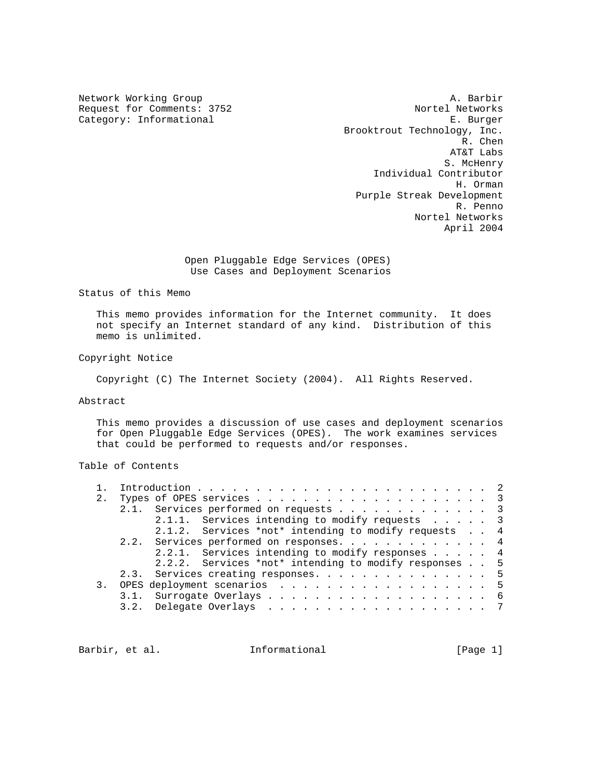Category: Informational

Network Working Group and the set of the set of the set of the A. Barbir Request for Comments: 3752 Nortel Networks<br>
Category: Informational B. Burger Brooktrout Technology, Inc. R. Chen AT&T Labs S. McHenry Individual Contributor H. Orman Purple Streak Development R. Penno Nortel Networks April 2004

> Open Pluggable Edge Services (OPES) Use Cases and Deployment Scenarios

Status of this Memo

 This memo provides information for the Internet community. It does not specify an Internet standard of any kind. Distribution of this memo is unlimited.

Copyright Notice

Copyright (C) The Internet Society (2004). All Rights Reserved.

Abstract

 This memo provides a discussion of use cases and deployment scenarios for Open Pluggable Edge Services (OPES). The work examines services that could be performed to requests and/or responses.

# Table of Contents

| 2.               |                                                       |   |
|------------------|-------------------------------------------------------|---|
|                  | 2.1. Services performed on requests 3                 |   |
|                  | 2.1.1. Services intending to modify requests 3        |   |
|                  | 2.1.2. Services *not* intending to modify requests 4  |   |
|                  | 2.2. Services performed on responses. 4               |   |
|                  | 2.2.1. Services intending to modify responses 4       |   |
|                  | 2.2.2. Services *not* intending to modify responses 5 |   |
|                  | 2.3. Services creating responses. 5                   |   |
| $\overline{3}$ . | OPES deployment scenarios 5                           |   |
|                  | 3.1. Surrogate Overlays 6                             |   |
|                  |                                                       | 7 |
|                  |                                                       |   |

Barbir, et al. **Informational** [Page 1]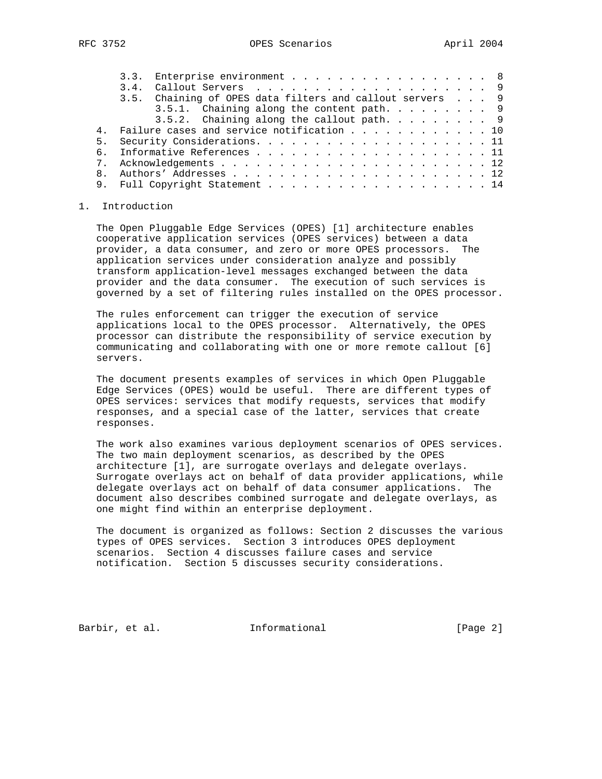|  |  |  |  |  |  |  |  |  | 3.3. Enterprise environment 8<br>3.5. Chaining of OPES data filters and callout servers 9<br>3.5.1. Chaining along the content path. 9<br>3.5.2. Chaining along the callout path. 9<br>4. Failure cases and service notification 10<br>9. Full Copyright Statement 14 |
|--|--|--|--|--|--|--|--|--|-----------------------------------------------------------------------------------------------------------------------------------------------------------------------------------------------------------------------------------------------------------------------|

## 1. Introduction

 The Open Pluggable Edge Services (OPES) [1] architecture enables cooperative application services (OPES services) between a data provider, a data consumer, and zero or more OPES processors. The application services under consideration analyze and possibly transform application-level messages exchanged between the data provider and the data consumer. The execution of such services is governed by a set of filtering rules installed on the OPES processor.

 The rules enforcement can trigger the execution of service applications local to the OPES processor. Alternatively, the OPES processor can distribute the responsibility of service execution by communicating and collaborating with one or more remote callout [6] servers.

 The document presents examples of services in which Open Pluggable Edge Services (OPES) would be useful. There are different types of OPES services: services that modify requests, services that modify responses, and a special case of the latter, services that create responses.

 The work also examines various deployment scenarios of OPES services. The two main deployment scenarios, as described by the OPES architecture [1], are surrogate overlays and delegate overlays. Surrogate overlays act on behalf of data provider applications, while delegate overlays act on behalf of data consumer applications. The document also describes combined surrogate and delegate overlays, as one might find within an enterprise deployment.

 The document is organized as follows: Section 2 discusses the various types of OPES services. Section 3 introduces OPES deployment scenarios. Section 4 discusses failure cases and service notification. Section 5 discusses security considerations.

Barbir, et al. 1nformational [Page 2]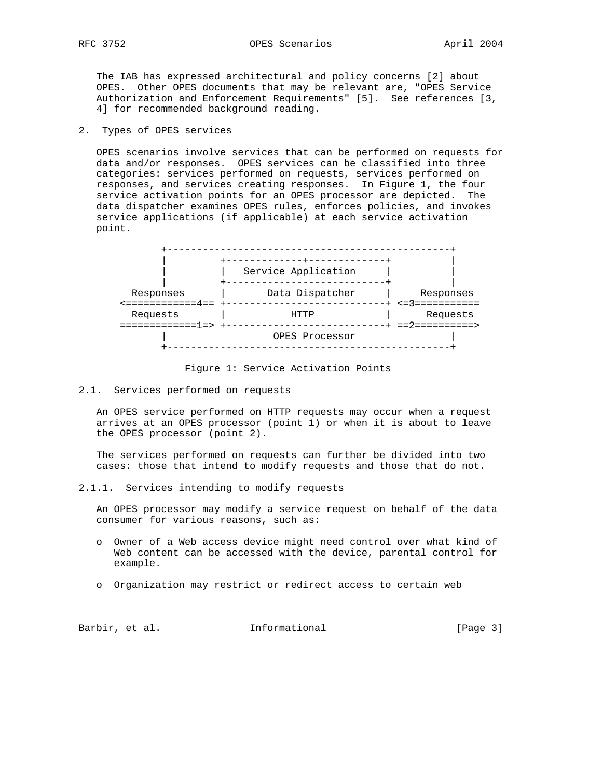The IAB has expressed architectural and policy concerns [2] about OPES. Other OPES documents that may be relevant are, "OPES Service Authorization and Enforcement Requirements" [5]. See references [3, 4] for recommended background reading.

2. Types of OPES services

 OPES scenarios involve services that can be performed on requests for data and/or responses. OPES services can be classified into three categories: services performed on requests, services performed on responses, and services creating responses. In Figure 1, the four service activation points for an OPES processor are depicted. The data dispatcher examines OPES rules, enforces policies, and invokes service applications (if applicable) at each service activation point.



Figure 1: Service Activation Points

2.1. Services performed on requests

 An OPES service performed on HTTP requests may occur when a request arrives at an OPES processor (point 1) or when it is about to leave the OPES processor (point 2).

 The services performed on requests can further be divided into two cases: those that intend to modify requests and those that do not.

2.1.1. Services intending to modify requests

 An OPES processor may modify a service request on behalf of the data consumer for various reasons, such as:

- o Owner of a Web access device might need control over what kind of Web content can be accessed with the device, parental control for example.
- o Organization may restrict or redirect access to certain web

| Barbir, et al.<br>Informational | [Page $3$ ] |  |  |
|---------------------------------|-------------|--|--|
|---------------------------------|-------------|--|--|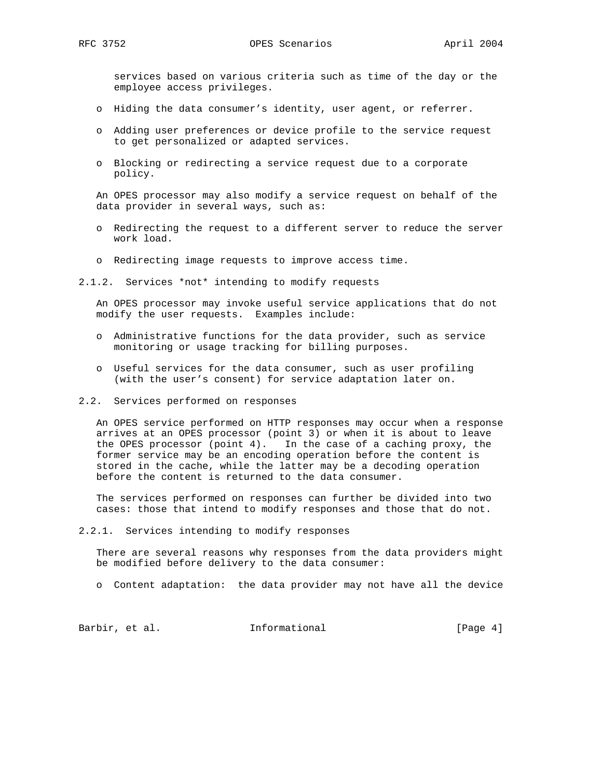services based on various criteria such as time of the day or the employee access privileges.

- o Hiding the data consumer's identity, user agent, or referrer.
- o Adding user preferences or device profile to the service request to get personalized or adapted services.
- o Blocking or redirecting a service request due to a corporate policy.

 An OPES processor may also modify a service request on behalf of the data provider in several ways, such as:

- o Redirecting the request to a different server to reduce the server work load.
- o Redirecting image requests to improve access time.
- 2.1.2. Services \*not\* intending to modify requests

 An OPES processor may invoke useful service applications that do not modify the user requests. Examples include:

- o Administrative functions for the data provider, such as service monitoring or usage tracking for billing purposes.
- o Useful services for the data consumer, such as user profiling (with the user's consent) for service adaptation later on.
- 2.2. Services performed on responses

 An OPES service performed on HTTP responses may occur when a response arrives at an OPES processor (point 3) or when it is about to leave the OPES processor (point 4). In the case of a caching proxy, the former service may be an encoding operation before the content is stored in the cache, while the latter may be a decoding operation before the content is returned to the data consumer.

 The services performed on responses can further be divided into two cases: those that intend to modify responses and those that do not.

2.2.1. Services intending to modify responses

 There are several reasons why responses from the data providers might be modified before delivery to the data consumer:

o Content adaptation: the data provider may not have all the device

Barbir, et al. 1nformational 1999 (Page 4)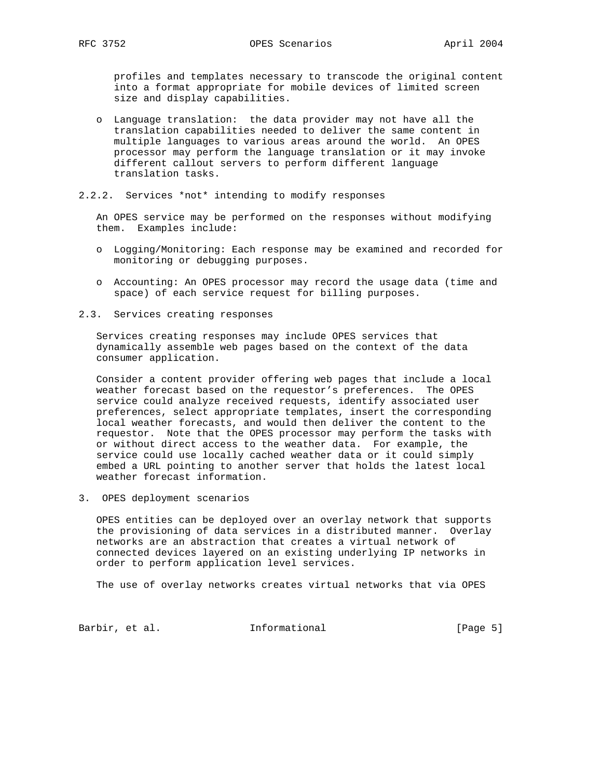profiles and templates necessary to transcode the original content into a format appropriate for mobile devices of limited screen size and display capabilities.

- o Language translation: the data provider may not have all the translation capabilities needed to deliver the same content in multiple languages to various areas around the world. An OPES processor may perform the language translation or it may invoke different callout servers to perform different language translation tasks.
- 2.2.2. Services \*not\* intending to modify responses

 An OPES service may be performed on the responses without modifying them. Examples include:

- o Logging/Monitoring: Each response may be examined and recorded for monitoring or debugging purposes.
- o Accounting: An OPES processor may record the usage data (time and space) of each service request for billing purposes.
- 2.3. Services creating responses

 Services creating responses may include OPES services that dynamically assemble web pages based on the context of the data consumer application.

 Consider a content provider offering web pages that include a local weather forecast based on the requestor's preferences. The OPES service could analyze received requests, identify associated user preferences, select appropriate templates, insert the corresponding local weather forecasts, and would then deliver the content to the requestor. Note that the OPES processor may perform the tasks with or without direct access to the weather data. For example, the service could use locally cached weather data or it could simply embed a URL pointing to another server that holds the latest local weather forecast information.

3. OPES deployment scenarios

 OPES entities can be deployed over an overlay network that supports the provisioning of data services in a distributed manner. Overlay networks are an abstraction that creates a virtual network of connected devices layered on an existing underlying IP networks in order to perform application level services.

The use of overlay networks creates virtual networks that via OPES

Barbir, et al. 1nformational [Page 5]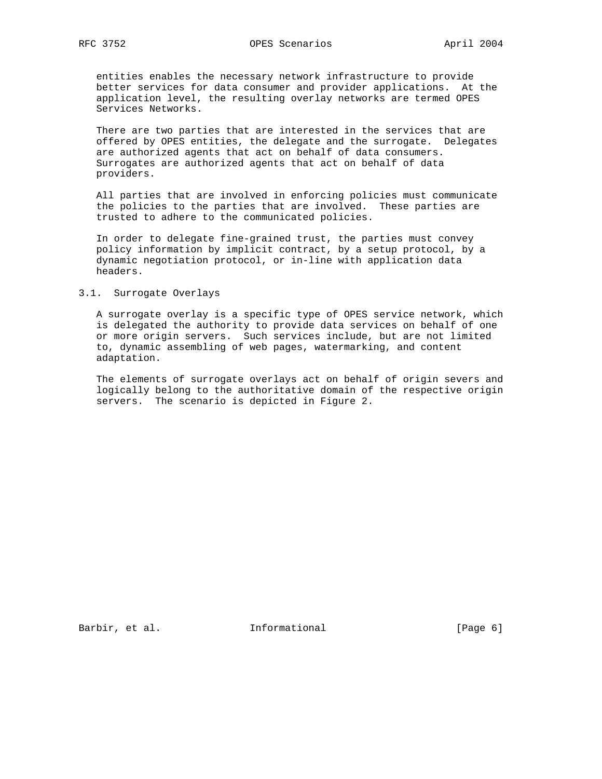entities enables the necessary network infrastructure to provide better services for data consumer and provider applications. At the application level, the resulting overlay networks are termed OPES Services Networks.

 There are two parties that are interested in the services that are offered by OPES entities, the delegate and the surrogate. Delegates are authorized agents that act on behalf of data consumers. Surrogates are authorized agents that act on behalf of data providers.

 All parties that are involved in enforcing policies must communicate the policies to the parties that are involved. These parties are trusted to adhere to the communicated policies.

 In order to delegate fine-grained trust, the parties must convey policy information by implicit contract, by a setup protocol, by a dynamic negotiation protocol, or in-line with application data headers.

#### 3.1. Surrogate Overlays

 A surrogate overlay is a specific type of OPES service network, which is delegated the authority to provide data services on behalf of one or more origin servers. Such services include, but are not limited to, dynamic assembling of web pages, watermarking, and content adaptation.

 The elements of surrogate overlays act on behalf of origin severs and logically belong to the authoritative domain of the respective origin servers. The scenario is depicted in Figure 2.

Barbir, et al. 1nformational [Page 6]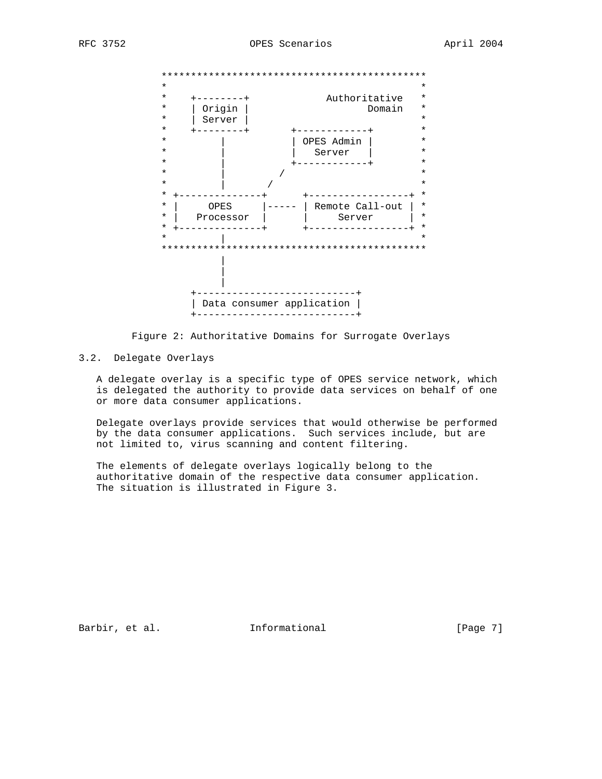



# 3.2. Delegate Overlays

 A delegate overlay is a specific type of OPES service network, which is delegated the authority to provide data services on behalf of one or more data consumer applications.

 Delegate overlays provide services that would otherwise be performed by the data consumer applications. Such services include, but are not limited to, virus scanning and content filtering.

 The elements of delegate overlays logically belong to the authoritative domain of the respective data consumer application. The situation is illustrated in Figure 3.

Barbir, et al. 1nformational 1999 [Page 7]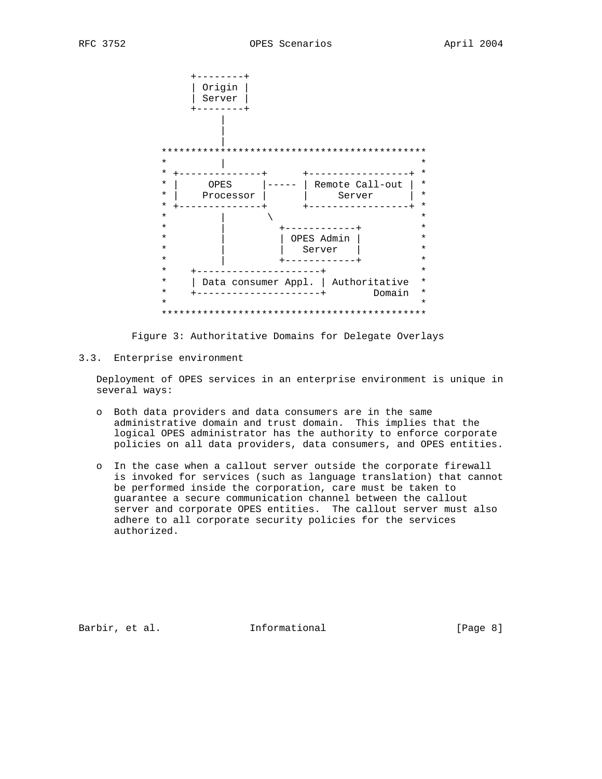



3.3. Enterprise environment

 Deployment of OPES services in an enterprise environment is unique in several ways:

- o Both data providers and data consumers are in the same administrative domain and trust domain. This implies that the logical OPES administrator has the authority to enforce corporate policies on all data providers, data consumers, and OPES entities.
- o In the case when a callout server outside the corporate firewall is invoked for services (such as language translation) that cannot be performed inside the corporation, care must be taken to guarantee a secure communication channel between the callout server and corporate OPES entities. The callout server must also adhere to all corporate security policies for the services authorized.

Barbir, et al. 1nformational 1999 [Page 8]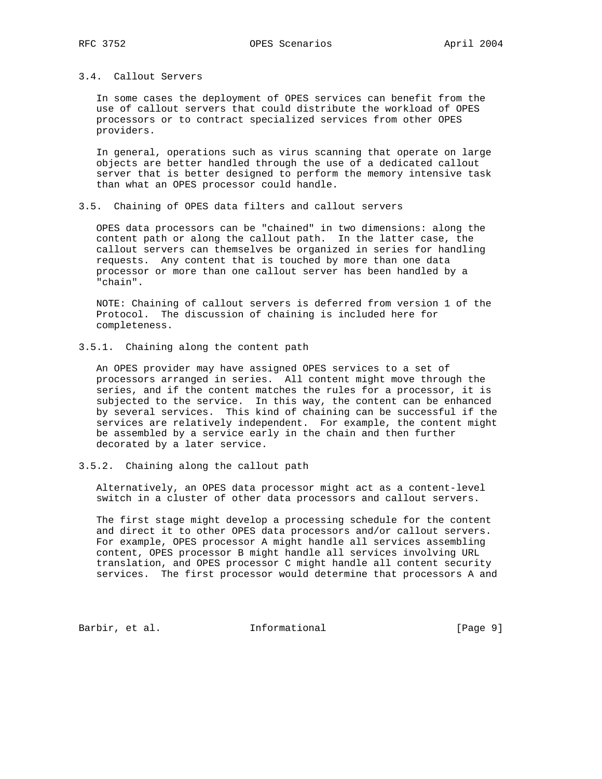## 3.4. Callout Servers

 In some cases the deployment of OPES services can benefit from the use of callout servers that could distribute the workload of OPES processors or to contract specialized services from other OPES providers.

 In general, operations such as virus scanning that operate on large objects are better handled through the use of a dedicated callout server that is better designed to perform the memory intensive task than what an OPES processor could handle.

3.5. Chaining of OPES data filters and callout servers

 OPES data processors can be "chained" in two dimensions: along the content path or along the callout path. In the latter case, the callout servers can themselves be organized in series for handling requests. Any content that is touched by more than one data processor or more than one callout server has been handled by a "chain".

 NOTE: Chaining of callout servers is deferred from version 1 of the Protocol. The discussion of chaining is included here for completeness.

3.5.1. Chaining along the content path

 An OPES provider may have assigned OPES services to a set of processors arranged in series. All content might move through the series, and if the content matches the rules for a processor, it is subjected to the service. In this way, the content can be enhanced by several services. This kind of chaining can be successful if the services are relatively independent. For example, the content might be assembled by a service early in the chain and then further decorated by a later service.

3.5.2. Chaining along the callout path

 Alternatively, an OPES data processor might act as a content-level switch in a cluster of other data processors and callout servers.

 The first stage might develop a processing schedule for the content and direct it to other OPES data processors and/or callout servers. For example, OPES processor A might handle all services assembling content, OPES processor B might handle all services involving URL translation, and OPES processor C might handle all content security services. The first processor would determine that processors A and

Barbir, et al. 1nformational 1999 [Page 9]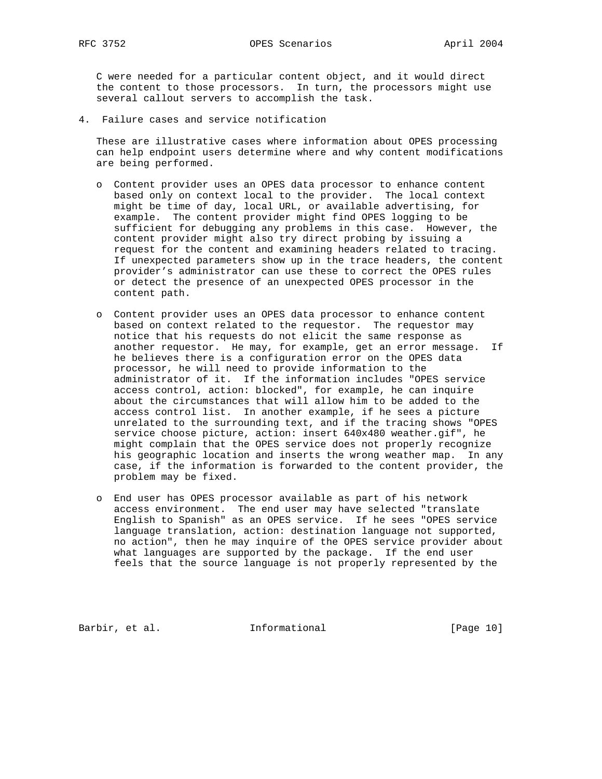C were needed for a particular content object, and it would direct the content to those processors. In turn, the processors might use several callout servers to accomplish the task.

4. Failure cases and service notification

 These are illustrative cases where information about OPES processing can help endpoint users determine where and why content modifications are being performed.

- o Content provider uses an OPES data processor to enhance content based only on context local to the provider. The local context might be time of day, local URL, or available advertising, for example. The content provider might find OPES logging to be sufficient for debugging any problems in this case. However, the content provider might also try direct probing by issuing a request for the content and examining headers related to tracing. If unexpected parameters show up in the trace headers, the content provider's administrator can use these to correct the OPES rules or detect the presence of an unexpected OPES processor in the content path.
- o Content provider uses an OPES data processor to enhance content based on context related to the requestor. The requestor may notice that his requests do not elicit the same response as another requestor. He may, for example, get an error message. If he believes there is a configuration error on the OPES data processor, he will need to provide information to the administrator of it. If the information includes "OPES service access control, action: blocked", for example, he can inquire about the circumstances that will allow him to be added to the access control list. In another example, if he sees a picture unrelated to the surrounding text, and if the tracing shows "OPES service choose picture, action: insert 640x480 weather.gif", he might complain that the OPES service does not properly recognize his geographic location and inserts the wrong weather map. In any case, if the information is forwarded to the content provider, the problem may be fixed.
- o End user has OPES processor available as part of his network access environment. The end user may have selected "translate English to Spanish" as an OPES service. If he sees "OPES service language translation, action: destination language not supported, no action", then he may inquire of the OPES service provider about what languages are supported by the package. If the end user feels that the source language is not properly represented by the

Barbir, et al. 1nformational [Page 10]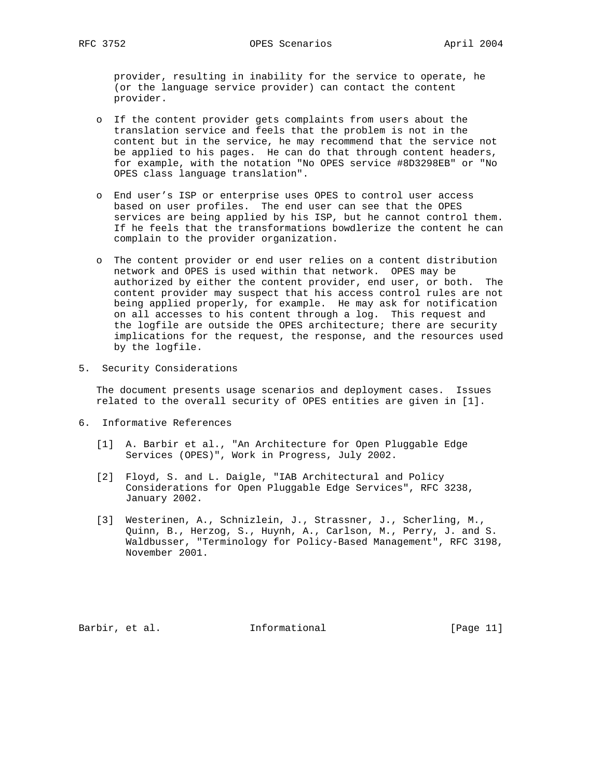provider, resulting in inability for the service to operate, he (or the language service provider) can contact the content provider.

- o If the content provider gets complaints from users about the translation service and feels that the problem is not in the content but in the service, he may recommend that the service not be applied to his pages. He can do that through content headers, for example, with the notation "No OPES service #8D3298EB" or "No OPES class language translation".
- o End user's ISP or enterprise uses OPES to control user access based on user profiles. The end user can see that the OPES services are being applied by his ISP, but he cannot control them. If he feels that the transformations bowdlerize the content he can complain to the provider organization.
- o The content provider or end user relies on a content distribution network and OPES is used within that network. OPES may be authorized by either the content provider, end user, or both. The content provider may suspect that his access control rules are not being applied properly, for example. He may ask for notification on all accesses to his content through a log. This request and the logfile are outside the OPES architecture; there are security implications for the request, the response, and the resources used by the logfile.
- 5. Security Considerations

 The document presents usage scenarios and deployment cases. Issues related to the overall security of OPES entities are given in [1].

- 6. Informative References
	- [1] A. Barbir et al., "An Architecture for Open Pluggable Edge Services (OPES)", Work in Progress, July 2002.
	- [2] Floyd, S. and L. Daigle, "IAB Architectural and Policy Considerations for Open Pluggable Edge Services", RFC 3238, January 2002.
	- [3] Westerinen, A., Schnizlein, J., Strassner, J., Scherling, M., Quinn, B., Herzog, S., Huynh, A., Carlson, M., Perry, J. and S. Waldbusser, "Terminology for Policy-Based Management", RFC 3198, November 2001.

Barbir, et al. Informational [Page 11]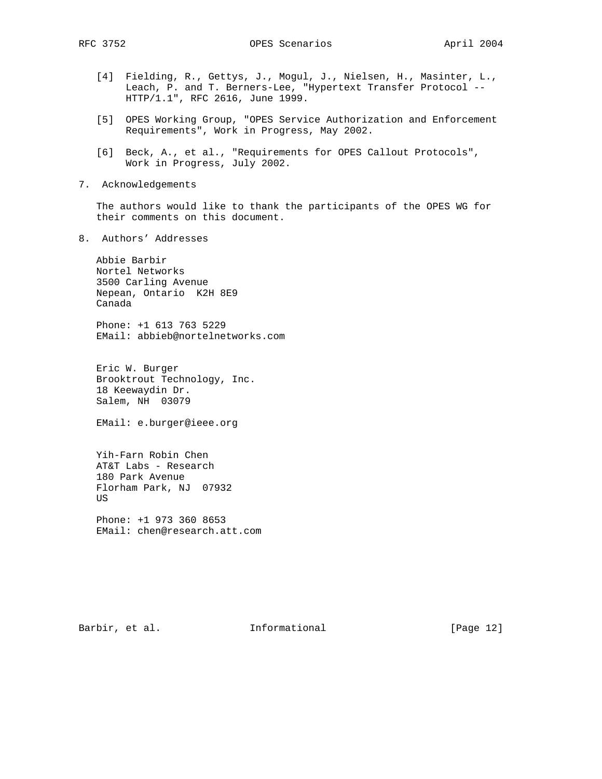- [4] Fielding, R., Gettys, J., Mogul, J., Nielsen, H., Masinter, L., Leach, P. and T. Berners-Lee, "Hypertext Transfer Protocol -- HTTP/1.1", RFC 2616, June 1999.
- [5] OPES Working Group, "OPES Service Authorization and Enforcement Requirements", Work in Progress, May 2002.
- [6] Beck, A., et al., "Requirements for OPES Callout Protocols", Work in Progress, July 2002.
- 7. Acknowledgements

 The authors would like to thank the participants of the OPES WG for their comments on this document.

8. Authors' Addresses

 Abbie Barbir Nortel Networks 3500 Carling Avenue Nepean, Ontario K2H 8E9 Canada

 Phone: +1 613 763 5229 EMail: abbieb@nortelnetworks.com

 Eric W. Burger Brooktrout Technology, Inc. 18 Keewaydin Dr. Salem, NH 03079

EMail: e.burger@ieee.org

 Yih-Farn Robin Chen AT&T Labs - Research 180 Park Avenue Florham Park, NJ 07932 US

 Phone: +1 973 360 8653 EMail: chen@research.att.com

Barbir, et al. 1nformational [Page 12]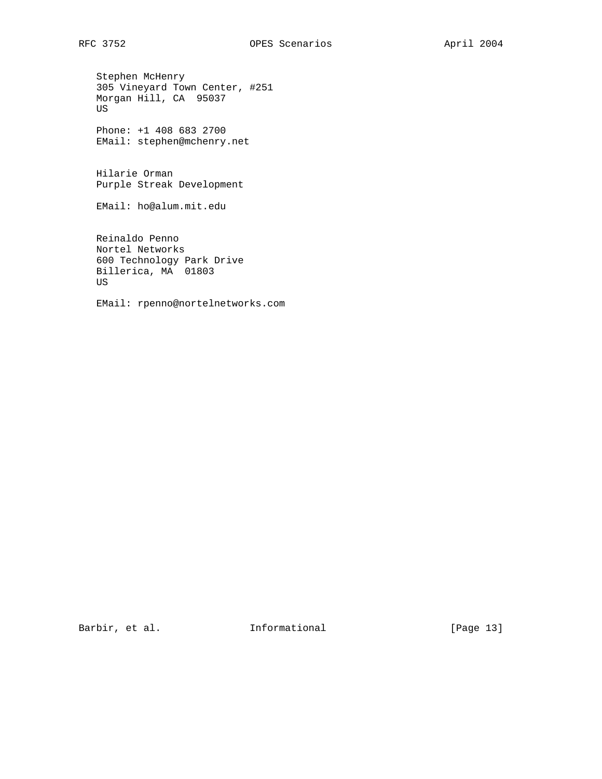Stephen McHenry 305 Vineyard Town Center, #251 Morgan Hill, CA 95037 US

 Phone: +1 408 683 2700 EMail: stephen@mchenry.net

 Hilarie Orman Purple Streak Development

EMail: ho@alum.mit.edu

 Reinaldo Penno Nortel Networks 600 Technology Park Drive Billerica, MA 01803 US

EMail: rpenno@nortelnetworks.com

Barbir, et al. 1nformational [Page 13]